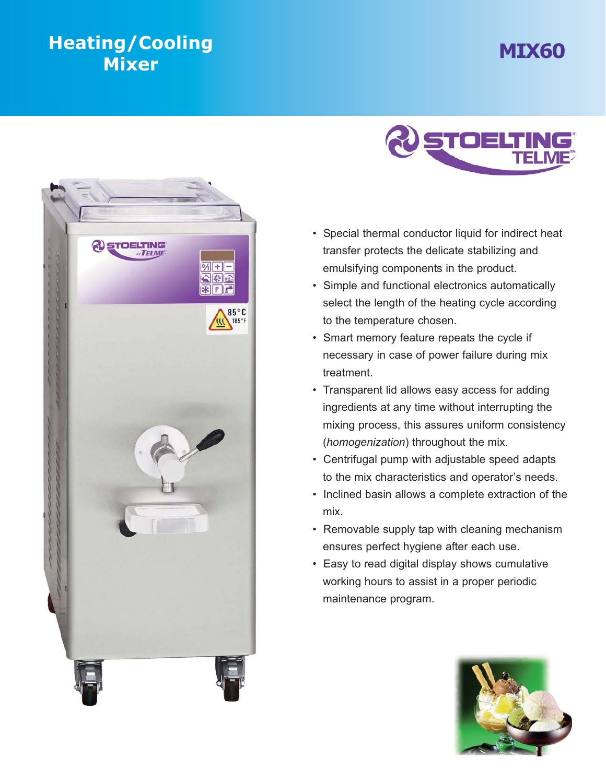## **MIX60 Heating Heating Heating Heating Heating Heating Heating**





- Special thermal conductor liquid for indirect heat transfer protects the delicate stabilizing and emulsifying components in the product.
- Simple and functional electronics automatically select the length of the heating cycle according to the temperature chosen.
- Smart memory feature repeats the cycle if necessary in case of power failure during mix treatment.
- Transparent lid allows easy access for adding ingredients at any time without interrupting the mixing process, this assures uniform consistency (*homogenization*) throughout the mix.
- Centrifugal pump with adjustable speed adapts to the mix characteristics and operator's needs.
- Inclined basin allows a complete extraction of the mix.
- Removable supply tap with cleaning mechanism ensures perfect hygiene after each use.
- Easy to read digital display shows cumulative working hours to assist in a proper periodic maintenance program.